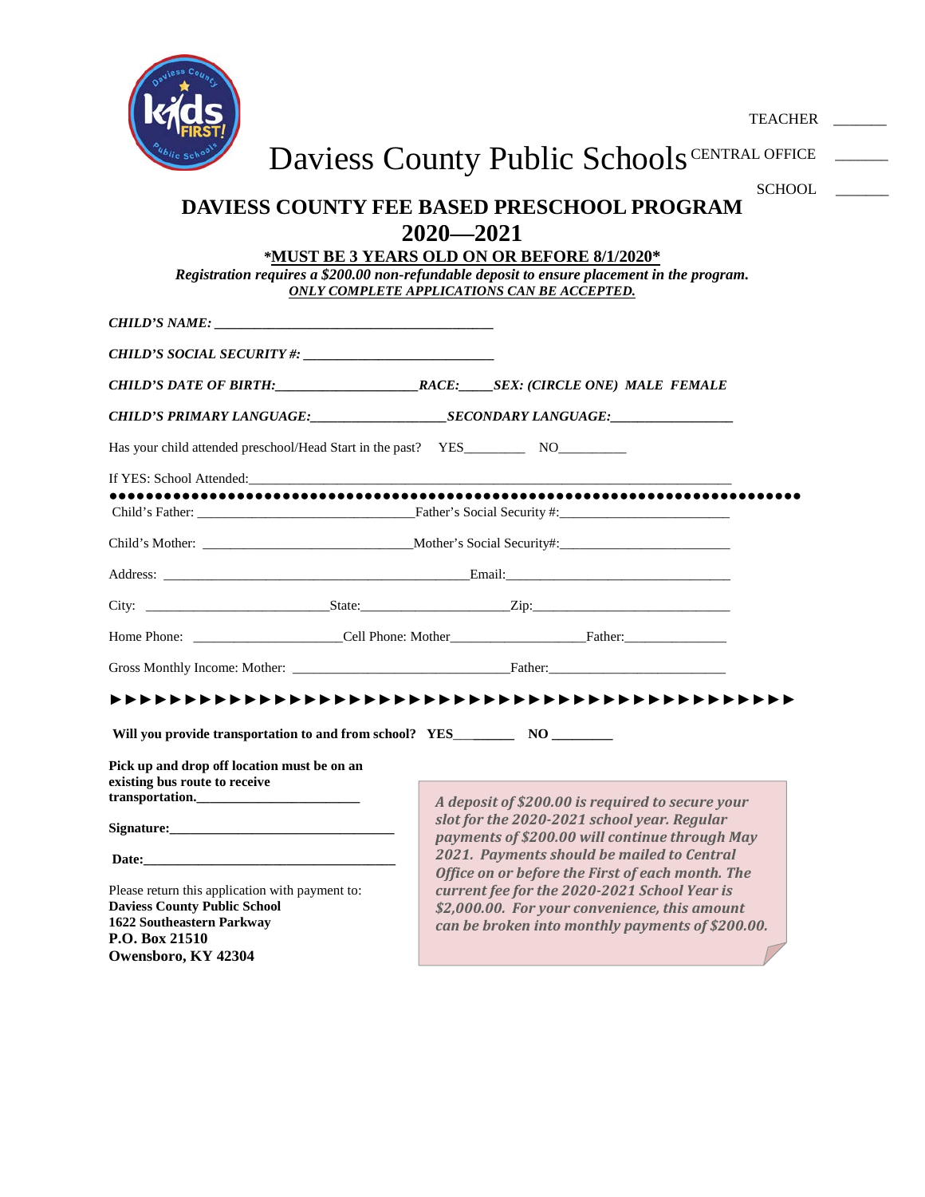

TEACHER \_\_\_\_\_\_\_

Daviess County Public Schools CENTRAL OFFICE

# **DAVIESS COUNTY FEE BASED PRESCHOOL PROGRAM 2020—2021** SCHOOL \_

*\****MUST BE 3 YEARS OLD ON OR BEFORE 8/1/2020\***

*Registration requires a \$200.00 non-refundable deposit to ensure placement in the program. ONLY COMPLETE APPLICATIONS CAN BE ACCEPTED.*

| <b>CHILD'S NAME:</b>                                                                                                                                                                                                           |  |  |                                                                                                                                                                                                                                |
|--------------------------------------------------------------------------------------------------------------------------------------------------------------------------------------------------------------------------------|--|--|--------------------------------------------------------------------------------------------------------------------------------------------------------------------------------------------------------------------------------|
|                                                                                                                                                                                                                                |  |  |                                                                                                                                                                                                                                |
|                                                                                                                                                                                                                                |  |  |                                                                                                                                                                                                                                |
|                                                                                                                                                                                                                                |  |  |                                                                                                                                                                                                                                |
|                                                                                                                                                                                                                                |  |  |                                                                                                                                                                                                                                |
| If YES: School Attended: The School School School School School School School School School School School School School School School School School School School School School School School School School School School Scho |  |  |                                                                                                                                                                                                                                |
|                                                                                                                                                                                                                                |  |  |                                                                                                                                                                                                                                |
|                                                                                                                                                                                                                                |  |  |                                                                                                                                                                                                                                |
|                                                                                                                                                                                                                                |  |  |                                                                                                                                                                                                                                |
|                                                                                                                                                                                                                                |  |  |                                                                                                                                                                                                                                |
|                                                                                                                                                                                                                                |  |  |                                                                                                                                                                                                                                |
|                                                                                                                                                                                                                                |  |  | Gross Monthly Income: Mother: The Contract of Contract Contract Contract Contract Contract Contract Contract Contract Contract Contract Contract Contract Contract Contract Contract Contract Contract Contract Contract Contr |
|                                                                                                                                                                                                                                |  |  |                                                                                                                                                                                                                                |
|                                                                                                                                                                                                                                |  |  |                                                                                                                                                                                                                                |
| Pick up and drop off location must be on an<br>existing bus route to receive<br>transportation.                                                                                                                                |  |  | A deposit of \$200.00 is required to secure your                                                                                                                                                                               |
|                                                                                                                                                                                                                                |  |  | slot for the 2020-2021 school year. Regular<br>payments of \$200.00 will continue through May                                                                                                                                  |
|                                                                                                                                                                                                                                |  |  | 2021. Payments should be mailed to Central<br>Office on or before the First of each month. The                                                                                                                                 |
| Please return this application with payment to:<br><b>Daviess County Public School</b><br>1622 Southeastern Parkway<br>P.O. Box 21510                                                                                          |  |  | current fee for the 2020-2021 School Year is<br>\$2,000.00. For your convenience, this amount<br>can be broken into monthly payments of \$200.00.                                                                              |
| Owensboro, KY 42304                                                                                                                                                                                                            |  |  |                                                                                                                                                                                                                                |